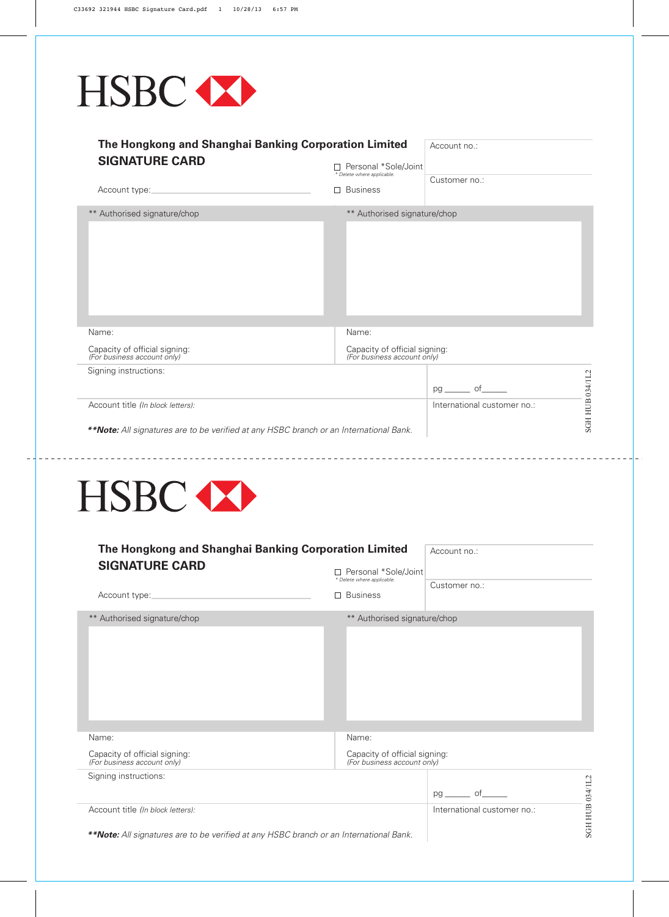

| The Hongkong and Shanghai Banking Corporation Limited<br><b>SIGNATURE CARD</b>                                                     | Account no.:<br>□ Personal *Sole/Joint                                |                             |                 |
|------------------------------------------------------------------------------------------------------------------------------------|-----------------------------------------------------------------------|-----------------------------|-----------------|
| Account type:                                                                                                                      | * Delete where applicable.<br>$\Box$ Business                         | Customer no.:               |                 |
| ** Authorised signature/chop                                                                                                       | ** Authorised signature/chop                                          |                             |                 |
| Name:<br>Capacity of official signing:<br>(For business account only)<br>Signing instructions:                                     | Name:<br>Capacity of official signing:<br>(For business account only) | of<br>pg                    |                 |
| Account title (In block letters):<br><b>**Note:</b> All signatures are to be verified at any HSBC branch or an International Bank. |                                                                       | International customer no.: | SGH HUB 034/1L2 |



| The Hongkong and Shanghai Banking Corporation Limited                                                                              | Account no.:                                                            |                             |                |
|------------------------------------------------------------------------------------------------------------------------------------|-------------------------------------------------------------------------|-----------------------------|----------------|
| <b>SIGNATURE CARD</b>                                                                                                              | □ Personal *Sole/Joint<br>* Delete where applicable.<br><b>Business</b> | Customer no.:               |                |
| Account type:                                                                                                                      | П                                                                       |                             |                |
| ** Authorised signature/chop                                                                                                       | ** Authorised signature/chop                                            |                             |                |
| Name:                                                                                                                              | Name:                                                                   |                             |                |
| Capacity of official signing:<br>(For business account only)                                                                       | Capacity of official signing:<br>(For business account only)            |                             |                |
| Signing instructions:                                                                                                              |                                                                         |                             |                |
|                                                                                                                                    |                                                                         | of<br>pg                    | 034/1L2        |
| Account title (In block letters):<br><b>**Note:</b> All signatures are to be verified at any HSBC branch or an International Bank. |                                                                         | International customer no.: | <b>SGH HUB</b> |